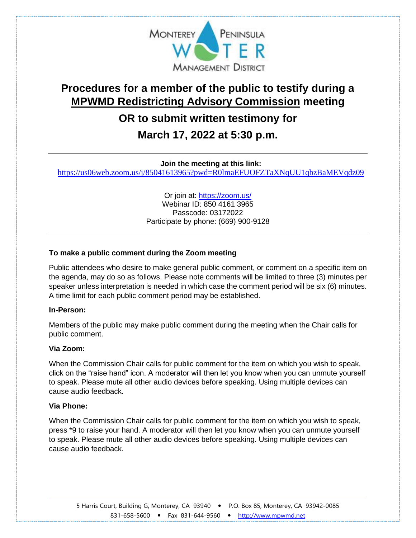

# **Procedures for a member of the public to testify during a MPWMD Redistricting Advisory Commission meeting**

### **OR to submit written testimony for**

## **March 17, 2022 at 5:30 p.m.**

**Join the meeting at this link:** 

<https://us06web.zoom.us/j/85041613965?pwd=R0lmaEFUOFZTaXNqUU1qbzBaMEVqdz09>

Or join at: <https://zoom.us/> Webinar ID: 850 4161 3965 Passcode: 03172022 Participate by phone: (669) 900-9128

#### **To make a public comment during the Zoom meeting**

Public attendees who desire to make general public comment, or comment on a specific item on the agenda, may do so as follows. Please note comments will be limited to three (3) minutes per speaker unless interpretation is needed in which case the comment period will be six (6) minutes. A time limit for each public comment period may be established.

#### **In-Person:**

Members of the public may make public comment during the meeting when the Chair calls for public comment.

#### **Via Zoom:**

When the Commission Chair calls for public comment for the item on which you wish to speak, click on the "raise hand" icon. A moderator will then let you know when you can unmute yourself to speak. Please mute all other audio devices before speaking. Using multiple devices can cause audio feedback.

#### **Via Phone:**

When the Commission Chair calls for public comment for the item on which you wish to speak, press \*9 to raise your hand. A moderator will then let you know when you can unmute yourself to speak. Please mute all other audio devices before speaking. Using multiple devices can cause audio feedback.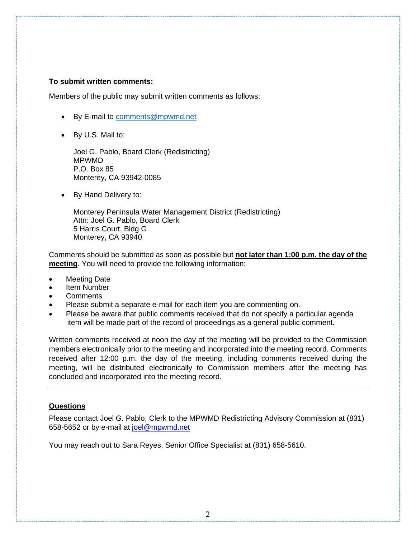#### **To submit written comments:**

Members of the public may submit written comments as follows:

- By E-mail to [comments@mpwmd.net](mailto:comments@mpwmd.net)
- By U.S. Mail to:

Joel G. Pablo, Board Clerk (Redistricting) MPWMD P.O. Box 85 Monterey, CA 93942-0085

• By Hand Delivery to:

Monterey Peninsula Water Management District (Redistricting) Attn: Joel G. Pablo, Board Clerk 5 Harris Court, Bldg G Monterey, CA 93940

Comments should be submitted as soon as possible but **not later than 1:00 p.m. the day of the meeting**. You will need to provide the following information:

- Meeting Date
- Item Number
- **Comments**
- Please submit a separate e-mail for each item you are commenting on.
- Please be aware that public comments received that do not specify a particular agenda item will be made part of the record of proceedings as a general public comment.

Written comments received at noon the day of the meeting will be provided to the Commission members electronically prior to the meeting and incorporated into the meeting record. Comments received after 12:00 p.m. the day of the meeting, including comments received during the meeting, will be distributed electronically to Commission members after the meeting has concluded and incorporated into the meeting record.

#### **Questions**

Please contact Joel G. Pablo, Clerk to the MPWMD Redistricting Advisory Commission at (831) 658-5652 or by e-mail at [joel@mpwmd.net](mailto:joel@mpwmd.net)

You may reach out to Sara Reyes, Senior Office Specialist at (831) 658-5610.